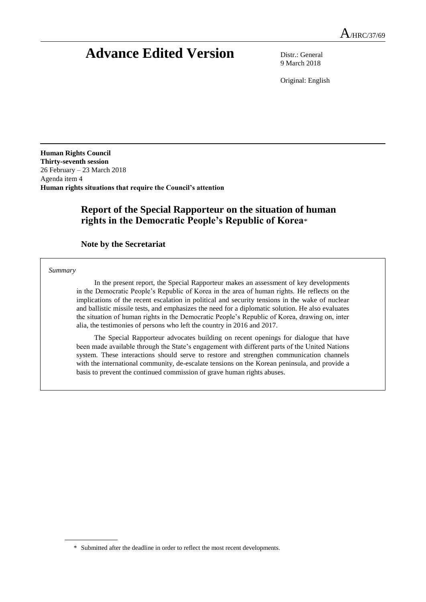# **Advance Edited Version** Distr.: General

9 March 2018

Original: English

**Human Rights Council Thirty-seventh session** 26 February – 23 March 2018 Agenda item 4 **Human rights situations that require the Council's attention**

# **Report of the Special Rapporteur on the situation of human rights in the Democratic People's Republic of Korea**\*

**Note by the Secretariat**

*Summary*

In the present report, the Special Rapporteur makes an assessment of key developments in the Democratic People's Republic of Korea in the area of human rights. He reflects on the implications of the recent escalation in political and security tensions in the wake of nuclear and ballistic missile tests, and emphasizes the need for a diplomatic solution. He also evaluates the situation of human rights in the Democratic People's Republic of Korea, drawing on, inter alia, the testimonies of persons who left the country in 2016 and 2017.

The Special Rapporteur advocates building on recent openings for dialogue that have been made available through the State's engagement with different parts of the United Nations system. These interactions should serve to restore and strengthen communication channels with the international community, de-escalate tensions on the Korean peninsula, and provide a basis to prevent the continued commission of grave human rights abuses.

<sup>\*</sup> Submitted after the deadline in order to reflect the most recent developments.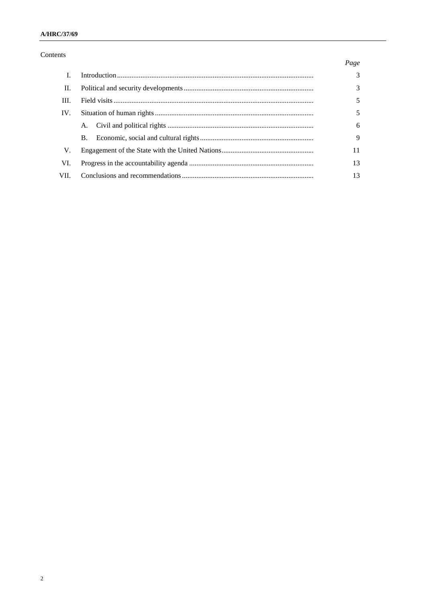#### A/HRC/37/69

### Contents

### $Page$

| П.    |           | 3           |
|-------|-----------|-------------|
| III.  |           |             |
| IV.   |           |             |
|       | A.        | 6           |
|       | <b>B.</b> | $\mathbf Q$ |
| V.    |           |             |
| VI.   |           | 13          |
| VII - |           |             |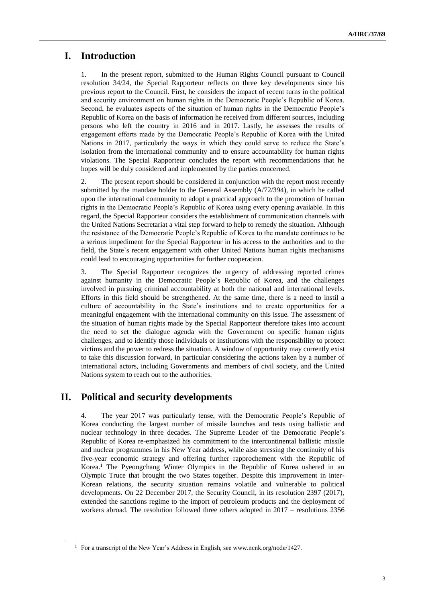# **I. Introduction**

1. In the present report, submitted to the Human Rights Council pursuant to Council resolution 34/24, the Special Rapporteur reflects on three key developments since his previous report to the Council. First, he considers the impact of recent turns in the political and security environment on human rights in the Democratic People's Republic of Korea. Second, he evaluates aspects of the situation of human rights in the Democratic People's Republic of Korea on the basis of information he received from different sources, including persons who left the country in 2016 and in 2017. Lastly, he assesses the results of engagement efforts made by the Democratic People's Republic of Korea with the United Nations in 2017, particularly the ways in which they could serve to reduce the State's isolation from the international community and to ensure accountability for human rights violations. The Special Rapporteur concludes the report with recommendations that he hopes will be duly considered and implemented by the parties concerned.

2. The present report should be considered in conjunction with the report most recently submitted by the mandate holder to the General Assembly (A/72/394), in which he called upon the international community to adopt a practical approach to the promotion of human rights in the Democratic People's Republic of Korea using every opening available. In this regard, the Special Rapporteur considers the establishment of communication channels with the United Nations Secretariat a vital step forward to help to remedy the situation. Although the resistance of the Democratic People's Republic of Korea to the mandate continues to be a serious impediment for the Special Rapporteur in his access to the authorities and to the field, the State`s recent engagement with other United Nations human rights mechanisms could lead to encouraging opportunities for further cooperation.

3. The Special Rapporteur recognizes the urgency of addressing reported crimes against humanity in the Democratic People`s Republic of Korea, and the challenges involved in pursuing criminal accountability at both the national and international levels. Efforts in this field should be strengthened. At the same time, there is a need to instil a culture of accountability in the State's institutions and to create opportunities for a meaningful engagement with the international community on this issue. The assessment of the situation of human rights made by the Special Rapporteur therefore takes into account the need to set the dialogue agenda with the Government on specific human rights challenges, and to identify those individuals or institutions with the responsibility to protect victims and the power to redress the situation. A window of opportunity may currently exist to take this discussion forward, in particular considering the actions taken by a number of international actors, including Governments and members of civil society, and the United Nations system to reach out to the authorities.

# **II. Political and security developments**

4. The year 2017 was particularly tense, with the Democratic People's Republic of Korea conducting the largest number of missile launches and tests using ballistic and nuclear technology in three decades. The Supreme Leader of the Democratic People's Republic of Korea re-emphasized his commitment to the intercontinental ballistic missile and nuclear programmes in his New Year address, while also stressing the continuity of his five-year economic strategy and offering further rapprochement with the Republic of Korea.<sup>1</sup> The Pyeongchang Winter Olympics in the Republic of Korea ushered in an Olympic Truce that brought the two States together. Despite this improvement in inter-Korean relations, the security situation remains volatile and vulnerable to political developments. On 22 December 2017, the Security Council, in its resolution 2397 (2017), extended the sanctions regime to the import of petroleum products and the deployment of workers abroad. The resolution followed three others adopted in 2017 – resolutions 2356

<sup>&</sup>lt;sup>1</sup> For a transcript of the New Year's Address in English, see [www.ncnk.org/node/1427.](https://www.ncnk.org/node/1427)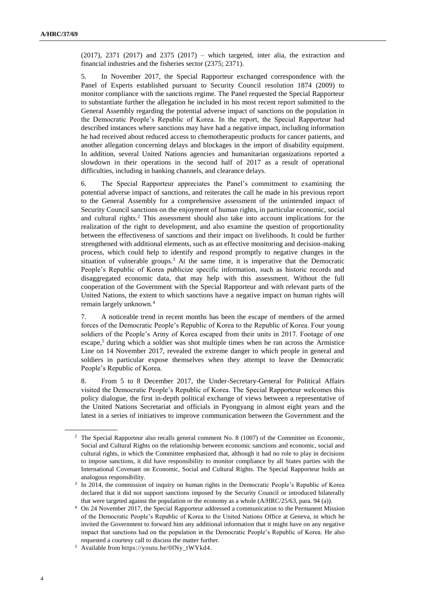$(2017)$ ,  $2371$   $(2017)$  and  $2375$   $(2017)$  – which targeted, inter alia, the extraction and financial industries and the fisheries sector (2375; 2371).

5. In November 2017, the Special Rapporteur exchanged correspondence with the Panel of Experts established pursuant to Security Council resolution 1874 (2009) to monitor compliance with the sanctions regime. The Panel requested the Special Rapporteur to substantiate further the allegation he included in his most recent report submitted to the General Assembly regarding the potential adverse impact of sanctions on the population in the Democratic People's Republic of Korea. In the report, the Special Rapporteur had described instances where sanctions may have had a negative impact, including information he had received about reduced access to chemotherapeutic products for cancer patients, and another allegation concerning delays and blockages in the import of disability equipment. In addition, several United Nations agencies and humanitarian organizations reported a slowdown in their operations in the second half of 2017 as a result of operational difficulties, including in banking channels, and clearance delays.

6. The Special Rapporteur appreciates the Panel's commitment to examining the potential adverse impact of sanctions, and reiterates the call he made in his previous report to the General Assembly for a comprehensive assessment of the unintended impact of Security Council sanctions on the enjoyment of human rights, in particular economic, social and cultural rights.<sup>2</sup> This assessment should also take into account implications for the realization of the right to development, and also examine the question of proportionality between the effectiveness of sanctions and their impact on livelihoods. It could be further strengthened with additional elements, such as an effective monitoring and decision-making process, which could help to identify and respond promptly to negative changes in the situation of vulnerable groups. $3$  At the same time, it is imperative that the Democratic People's Republic of Korea publicize specific information, such as historic records and disaggregated economic data, that may help with this assessment. Without the full cooperation of the Government with the Special Rapporteur and with relevant parts of the United Nations, the extent to which sanctions have a negative impact on human rights will remain largely unknown.<sup>4</sup>

7. A noticeable trend in recent months has been the escape of members of the armed forces of the Democratic People's Republic of Korea to the Republic of Korea. Four young soldiers of the People's Army of Korea escaped from their units in 2017. Footage of one escape, <sup>5</sup> during which a soldier was shot multiple times when he ran across the Armistice Line on 14 November 2017, revealed the extreme danger to which people in general and soldiers in particular expose themselves when they attempt to leave the Democratic People's Republic of Korea.

8. From 5 to 8 December 2017, the Under-Secretary-General for Political Affairs visited the Democratic People's Republic of Korea. The Special Rapporteur welcomes this policy dialogue, the first in-depth political exchange of views between a representative of the United Nations Secretariat and officials in Pyongyang in almost eight years and the latest in a series of initiatives to improve communication between the Government and the

<sup>&</sup>lt;sup>2</sup> The Special Rapporteur also recalls general comment No. 8 (1007) of the Committee on Economic, Social and Cultural Rights on the relationship between economic sanctions and economic, social and cultural rights, in which the Committee emphasized that, although it had no role to play in decisions to impose sanctions, it did have responsibility to monitor compliance by all States parties with the International Covenant on Economic, Social and Cultural Rights. The Special Rapporteur holds an analogous responsibility.

<sup>&</sup>lt;sup>3</sup> In 2014, the commission of inquiry on human rights in the Democratic People's Republic of Korea declared that it did not support sanctions imposed by the Security Council or introduced bilaterally that were targeted against the population or the economy as a whole (A/HRC/25/63, para. 94 (a)).

<sup>4</sup> On 24 November 2017, the Special Rapporteur addressed a communication to the Permanent Mission of the Democratic People's Republic of Korea to the United Nations Office at Geneva, in which he invited the Government to forward him any additional information that it might have on any negative impact that sanctions had on the population in the Democratic People's Republic of Korea. He also requested a courtesy call to discuss the matter further.

<sup>5</sup> Available fro[m https://youtu.be/0fNy\\_tWYkd4.](https://youtu.be/0fNy_tWYkd4)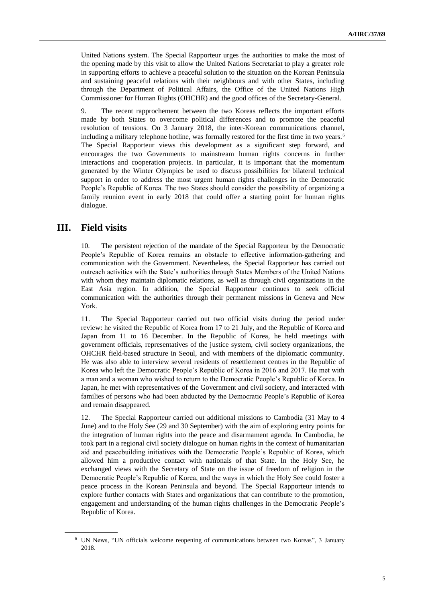United Nations system. The Special Rapporteur urges the authorities to make the most of the opening made by this visit to allow the United Nations Secretariat to play a greater role in supporting efforts to achieve a peaceful solution to the situation on the Korean Peninsula and sustaining peaceful relations with their neighbours and with other States, including through the Department of Political Affairs, the Office of the United Nations High Commissioner for Human Rights (OHCHR) and the good offices of the Secretary-General.

9. The recent rapprochement between the two Koreas reflects the important efforts made by both States to overcome political differences and to promote the peaceful resolution of tensions. On 3 January 2018, the inter-Korean communications channel, including a military telephone hotline, was formally restored for the first time in two years. <sup>6</sup> The Special Rapporteur views this development as a significant step forward, and encourages the two Governments to mainstream human rights concerns in further interactions and cooperation projects. In particular, it is important that the momentum generated by the Winter Olympics be used to discuss possibilities for bilateral technical support in order to address the most urgent human rights challenges in the Democratic People's Republic of Korea. The two States should consider the possibility of organizing a family reunion event in early 2018 that could offer a starting point for human rights dialogue.

### **III. Field visits**

10. The persistent rejection of the mandate of the Special Rapporteur by the Democratic People's Republic of Korea remains an obstacle to effective information-gathering and communication with the Government. Nevertheless, the Special Rapporteur has carried out outreach activities with the State's authorities through States Members of the United Nations with whom they maintain diplomatic relations, as well as through civil organizations in the East Asia region. In addition, the Special Rapporteur continues to seek official communication with the authorities through their permanent missions in Geneva and New York.

11. The Special Rapporteur carried out two official visits during the period under review: he visited the Republic of Korea from 17 to 21 July, and the Republic of Korea and Japan from 11 to 16 December. In the Republic of Korea, he held meetings with government officials, representatives of the justice system, civil society organizations, the OHCHR field-based structure in Seoul, and with members of the diplomatic community. He was also able to interview several residents of resettlement centres in the Republic of Korea who left the Democratic People's Republic of Korea in 2016 and 2017. He met with a man and a woman who wished to return to the Democratic People's Republic of Korea. In Japan, he met with representatives of the Government and civil society, and interacted with families of persons who had been abducted by the Democratic People's Republic of Korea and remain disappeared.

12. The Special Rapporteur carried out additional missions to Cambodia (31 May to 4 June) and to the Holy See (29 and 30 September) with the aim of exploring entry points for the integration of human rights into the peace and disarmament agenda. In Cambodia, he took part in a regional civil society dialogue on human rights in the context of humanitarian aid and peacebuilding initiatives with the Democratic People's Republic of Korea, which allowed him a productive contact with nationals of that State. In the Holy See, he exchanged views with the Secretary of State on the issue of freedom of religion in the Democratic People's Republic of Korea, and the ways in which the Holy See could foster a peace process in the Korean Peninsula and beyond. The Special Rapporteur intends to explore further contacts with States and organizations that can contribute to the promotion, engagement and understanding of the human rights challenges in the Democratic People's Republic of Korea.

<sup>6</sup> UN News, "UN officials welcome reopening of communications between two Koreas", 3 January 2018.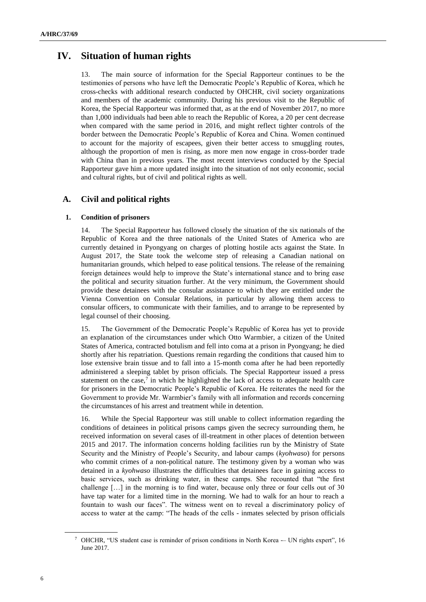# **IV. Situation of human rights**

13. The main source of information for the Special Rapporteur continues to be the testimonies of persons who have left the Democratic People's Republic of Korea, which he cross-checks with additional research conducted by OHCHR, civil society organizations and members of the academic community. During his previous visit to the Republic of Korea, the Special Rapporteur was informed that, as at the end of November 2017, no more than 1,000 individuals had been able to reach the Republic of Korea, a 20 per cent decrease when compared with the same period in 2016, and might reflect tighter controls of the border between the Democratic People's Republic of Korea and China. Women continued to account for the majority of escapees, given their better access to smuggling routes, although the proportion of men is rising, as more men now engage in cross-border trade with China than in previous years. The most recent interviews conducted by the Special Rapporteur gave him a more updated insight into the situation of not only economic, social and cultural rights, but of civil and political rights as well.

### **A. Civil and political rights**

#### **1. Condition of prisoners**

14. The Special Rapporteur has followed closely the situation of the six nationals of the Republic of Korea and the three nationals of the United States of America who are currently detained in Pyongyang on charges of plotting hostile acts against the State. In August 2017, the State took the welcome step of releasing a Canadian national on humanitarian grounds, which helped to ease political tensions. The release of the remaining foreign detainees would help to improve the State's international stance and to bring ease the political and security situation further. At the very minimum, the Government should provide these detainees with the consular assistance to which they are entitled under the Vienna Convention on Consular Relations, in particular by allowing them access to consular officers, to communicate with their families, and to arrange to be represented by legal counsel of their choosing.

15. The Government of the Democratic People's Republic of Korea has yet to provide an explanation of the circumstances under which Otto Warmbier, a citizen of the United States of America, contracted botulism and fell into coma at a prison in Pyongyang; he died shortly after his repatriation. Questions remain regarding the conditions that caused him to lose extensive brain tissue and to fall into a 15-month coma after he had been reportedly administered a sleeping tablet by prison officials. The Special Rapporteur issued a press statement on the case, $7$  in which he highlighted the lack of access to adequate health care for prisoners in the Democratic People's Republic of Korea. He reiterates the need for the Government to provide Mr. Warmbier's family with all information and records concerning the circumstances of his arrest and treatment while in detention.

16. While the Special Rapporteur was still unable to collect information regarding the conditions of detainees in political prisons camps given the secrecy surrounding them, he received information on several cases of ill-treatment in other places of detention between 2015 and 2017. The information concerns holding facilities run by the Ministry of State Security and the Ministry of People's Security, and labour camps (*kyohwaso*) for persons who commit crimes of a non-political nature. The testimony given by a woman who was detained in a *kyohwaso* illustrates the difficulties that detainees face in gaining access to basic services, such as drinking water, in these camps. She recounted that "the first challenge […] in the morning is to find water, because only three or four cells out of 30 have tap water for a limited time in the morning. We had to walk for an hour to reach a fountain to wash our faces". The witness went on to reveal a discriminatory policy of access to water at the camp: "The heads of the cells - inmates selected by prison officials

<sup>&</sup>lt;sup>7</sup> OHCHR, "US student case is reminder of prison conditions in North Korea -- UN rights expert", 16 June 2017.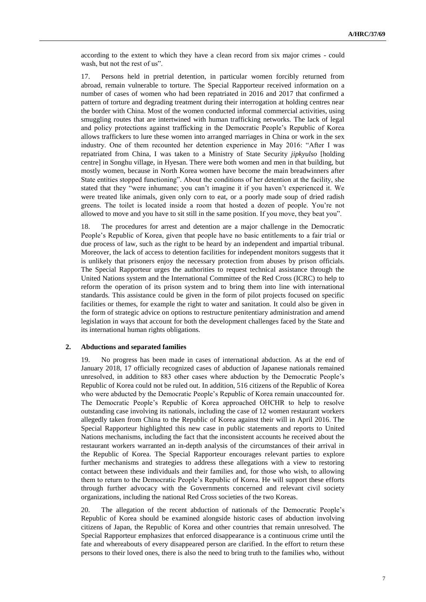according to the extent to which they have a clean record from six major crimes - could wash, but not the rest of us".

17. Persons held in pretrial detention, in particular women forcibly returned from abroad, remain vulnerable to torture. The Special Rapporteur received information on a number of cases of women who had been repatriated in 2016 and 2017 that confirmed a pattern of torture and degrading treatment during their interrogation at holding centres near the border with China. Most of the women conducted informal commercial activities, using smuggling routes that are intertwined with human trafficking networks. The lack of legal and policy protections against trafficking in the Democratic People's Republic of Korea allows traffickers to lure these women into arranged marriages in China or work in the sex industry. One of them recounted her detention experience in May 2016: "After I was repatriated from China, I was taken to a Ministry of State Security *jipkyulso* [holding centre] in Songhu village, in Hyesan. There were both women and men in that building, but mostly women, because in North Korea women have become the main breadwinners after State entities stopped functioning". About the conditions of her detention at the facility, she stated that they "were inhumane; you can't imagine it if you haven't experienced it. We were treated like animals, given only corn to eat, or a poorly made soup of dried radish greens. The toilet is located inside a room that hosted a dozen of people. You're not allowed to move and you have to sit still in the same position. If you move, they beat you".

18. The procedures for arrest and detention are a major challenge in the Democratic People's Republic of Korea, given that people have no basic entitlements to a fair trial or due process of law, such as the right to be heard by an independent and impartial tribunal. Moreover, the lack of access to detention facilities for independent monitors suggests that it is unlikely that prisoners enjoy the necessary protection from abuses by prison officials. The Special Rapporteur urges the authorities to request technical assistance through the United Nations system and the International Committee of the Red Cross (ICRC) to help to reform the operation of its prison system and to bring them into line with international standards. This assistance could be given in the form of pilot projects focused on specific facilities or themes, for example the right to water and sanitation. It could also be given in the form of strategic advice on options to restructure penitentiary administration and amend legislation in ways that account for both the development challenges faced by the State and its international human rights obligations.

#### **2. Abductions and separated families**

19. No progress has been made in cases of international abduction. As at the end of January 2018, 17 officially recognized cases of abduction of Japanese nationals remained unresolved, in addition to 883 other cases where abduction by the Democratic People's Republic of Korea could not be ruled out. In addition, 516 citizens of the Republic of Korea who were abducted by the Democratic People's Republic of Korea remain unaccounted for. The Democratic People's Republic of Korea approached OHCHR to help to resolve outstanding case involving its nationals, including the case of 12 women restaurant workers allegedly taken from China to the Republic of Korea against their will in April 2016. The Special Rapporteur highlighted this new case in public statements and reports to United Nations mechanisms, including the fact that the inconsistent accounts he received about the restaurant workers warranted an in-depth analysis of the circumstances of their arrival in the Republic of Korea. The Special Rapporteur encourages relevant parties to explore further mechanisms and strategies to address these allegations with a view to restoring contact between these individuals and their families and, for those who wish, to allowing them to return to the Democratic People's Republic of Korea. He will support these efforts through further advocacy with the Governments concerned and relevant civil society organizations, including the national Red Cross societies of the two Koreas.

20. The allegation of the recent abduction of nationals of the Democratic People's Republic of Korea should be examined alongside historic cases of abduction involving citizens of Japan, the Republic of Korea and other countries that remain unresolved. The Special Rapporteur emphasizes that enforced disappearance is a continuous crime until the fate and whereabouts of every disappeared person are clarified. In the effort to return these persons to their loved ones, there is also the need to bring truth to the families who, without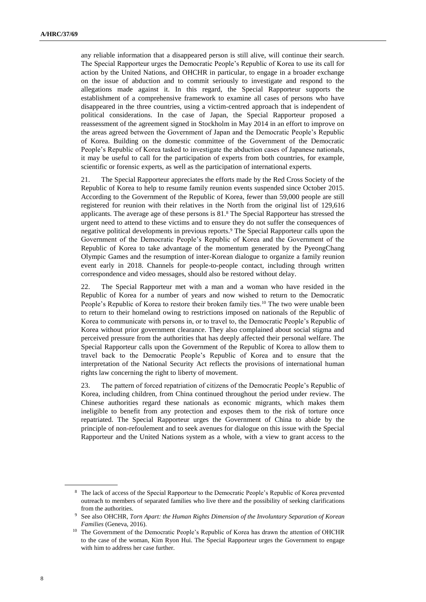any reliable information that a disappeared person is still alive, will continue their search. The Special Rapporteur urges the Democratic People's Republic of Korea to use its call for action by the United Nations, and OHCHR in particular, to engage in a broader exchange on the issue of abduction and to commit seriously to investigate and respond to the allegations made against it. In this regard, the Special Rapporteur supports the establishment of a comprehensive framework to examine all cases of persons who have disappeared in the three countries, using a victim-centred approach that is independent of political considerations. In the case of Japan, the Special Rapporteur proposed a reassessment of the agreement signed in Stockholm in May 2014 in an effort to improve on the areas agreed between the Government of Japan and the Democratic People's Republic of Korea. Building on the domestic committee of the Government of the Democratic People's Republic of Korea tasked to investigate the abduction cases of Japanese nationals, it may be useful to call for the participation of experts from both countries, for example, scientific or forensic experts, as well as the participation of international experts.

21. The Special Rapporteur appreciates the efforts made by the Red Cross Society of the Republic of Korea to help to resume family reunion events suspended since October 2015. According to the Government of the Republic of Korea, fewer than 59,000 people are still registered for reunion with their relatives in the North from the original list of 129,616 applicants. The average age of these persons is 81.<sup>8</sup> The Special Rapporteur has stressed the urgent need to attend to these victims and to ensure they do not suffer the consequences of negative political developments in previous reports.<sup>9</sup> The Special Rapporteur calls upon the Government of the Democratic People's Republic of Korea and the Government of the Republic of Korea to take advantage of the momentum generated by the PyeongChang Olympic Games and the resumption of inter-Korean dialogue to organize a family reunion event early in 2018. Channels for people-to-people contact, including through written correspondence and video messages, should also be restored without delay.

22. The Special Rapporteur met with a man and a woman who have resided in the Republic of Korea for a number of years and now wished to return to the Democratic People's Republic of Korea to restore their broken family ties.<sup>10</sup> The two were unable been to return to their homeland owing to restrictions imposed on nationals of the Republic of Korea to communicate with persons in, or to travel to, the Democratic People's Republic of Korea without prior government clearance. They also complained about social stigma and perceived pressure from the authorities that has deeply affected their personal welfare. The Special Rapporteur calls upon the Government of the Republic of Korea to allow them to travel back to the Democratic People's Republic of Korea and to ensure that the interpretation of the National Security Act reflects the provisions of international human rights law concerning the right to liberty of movement.

23. The pattern of forced repatriation of citizens of the Democratic People's Republic of Korea, including children, from China continued throughout the period under review. The Chinese authorities regard these nationals as economic migrants, which makes them ineligible to benefit from any protection and exposes them to the risk of torture once repatriated. The Special Rapporteur urges the Government of China to abide by the principle of non-refoulement and to seek avenues for dialogue on this issue with the Special Rapporteur and the United Nations system as a whole, with a view to grant access to the

<sup>8</sup> The lack of access of the Special Rapporteur to the Democratic People's Republic of Korea prevented outreach to members of separated families who live there and the possibility of seeking clarifications from the authorities.

<sup>9</sup> See also OHCHR, *Torn Apart: the Human Rights Dimension of the Involuntary Separation of Korean Families* (Geneva, 2016).

<sup>&</sup>lt;sup>10</sup> The Government of the Democratic People's Republic of Korea has drawn the attention of OHCHR to the case of the woman, Kim Ryon Hui. The Special Rapporteur urges the Government to engage with him to address her case further.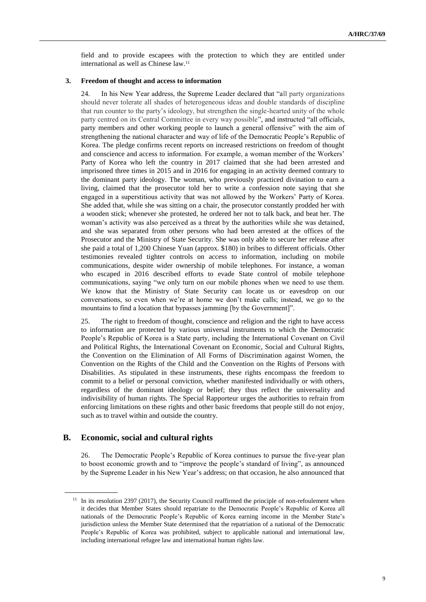field and to provide escapees with the protection to which they are entitled under international as well as Chinese law.<sup>11</sup>

#### **3. Freedom of thought and access to information**

24. In his New Year address, the Supreme Leader declared that "all party organizations should never tolerate all shades of heterogeneous ideas and double standards of discipline that run counter to the party's ideology, but strengthen the single-hearted unity of the whole party centred on its Central Committee in every way possible", and instructed "all officials, party members and other working people to launch a general offensive" with the aim of strengthening the national character and way of life of the Democratic People's Republic of Korea. The pledge confirms recent reports on increased restrictions on freedom of thought and conscience and access to information. For example, a woman member of the Workers' Party of Korea who left the country in 2017 claimed that she had been arrested and imprisoned three times in 2015 and in 2016 for engaging in an activity deemed contrary to the dominant party ideology. The woman, who previously practiced divination to earn a living, claimed that the prosecutor told her to write a confession note saying that she engaged in a superstitious activity that was not allowed by the Workers' Party of Korea. She added that, while she was sitting on a chair, the prosecutor constantly prodded her with a wooden stick; whenever she protested, he ordered her not to talk back, and beat her. The woman's activity was also perceived as a threat by the authorities while she was detained, and she was separated from other persons who had been arrested at the offices of the Prosecutor and the Ministry of State Security. She was only able to secure her release after she paid a total of 1,200 Chinese Yuan (approx. \$180) in bribes to different officials. Other testimonies revealed tighter controls on access to information, including on mobile communications, despite wider ownership of mobile telephones. For instance, a woman who escaped in 2016 described efforts to evade State control of mobile telephone communications, saying "we only turn on our mobile phones when we need to use them. We know that the Ministry of State Security can locate us or eavesdrop on our conversations, so even when we're at home we don't make calls; instead, we go to the mountains to find a location that bypasses jamming [by the Government]".

25. The right to freedom of thought, conscience and religion and the right to have access to information are protected by various universal instruments to which the Democratic People's Republic of Korea is a State party, including the International Covenant on Civil and Political Rights, the International Covenant on Economic, Social and Cultural Rights, the Convention on the Elimination of All Forms of Discrimination against Women, the Convention on the Rights of the Child and the Convention on the Rights of Persons with Disabilities. As stipulated in these instruments, these rights encompass the freedom to commit to a belief or personal conviction, whether manifested individually or with others, regardless of the dominant ideology or belief; they thus reflect the universality and indivisibility of human rights. The Special Rapporteur urges the authorities to refrain from enforcing limitations on these rights and other basic freedoms that people still do not enjoy, such as to travel within and outside the country.

### **B. Economic, social and cultural rights**

26. The Democratic People's Republic of Korea continues to pursue the five-year plan to boost economic growth and to "improve the people's standard of living", as announced by the Supreme Leader in his New Year's address; on that occasion, he also announced that

<sup>&</sup>lt;sup>11</sup> In its resolution 2397 (2017), the Security Council reaffirmed the principle of non-refoulement when it decides that Member States should repatriate to the Democratic People's Republic of Korea all nationals of the Democratic People's Republic of Korea earning income in the Member State's jurisdiction unless the Member State determined that the repatriation of a national of the Democratic People's Republic of Korea was prohibited, subject to applicable national and international law, including international refugee law and international human rights law.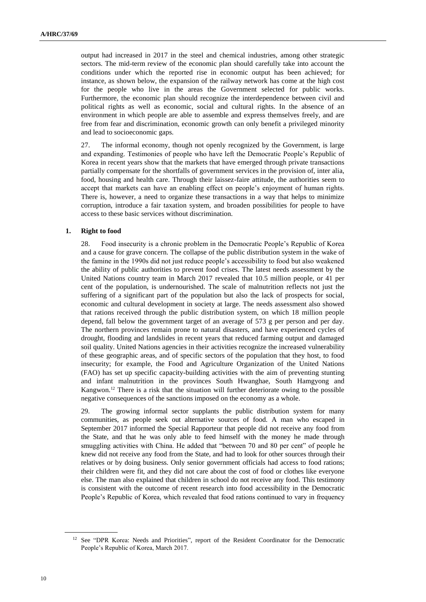output had increased in 2017 in the steel and chemical industries, among other strategic sectors. The mid-term review of the economic plan should carefully take into account the conditions under which the reported rise in economic output has been achieved; for instance, as shown below, the expansion of the railway network has come at the high cost for the people who live in the areas the Government selected for public works. Furthermore, the economic plan should recognize the interdependence between civil and political rights as well as economic, social and cultural rights. In the absence of an environment in which people are able to assemble and express themselves freely, and are free from fear and discrimination, economic growth can only benefit a privileged minority and lead to socioeconomic gaps.

27. The informal economy, though not openly recognized by the Government, is large and expanding. Testimonies of people who have left the Democratic People's Republic of Korea in recent years show that the markets that have emerged through private transactions partially compensate for the shortfalls of government services in the provision of, inter alia, food, housing and health care. Through their laissez-faire attitude, the authorities seem to accept that markets can have an enabling effect on people's enjoyment of human rights. There is, however, a need to organize these transactions in a way that helps to minimize corruption, introduce a fair taxation system, and broaden possibilities for people to have access to these basic services without discrimination.

#### **1. Right to food**

28. Food insecurity is a chronic problem in the Democratic People's Republic of Korea and a cause for grave concern. The collapse of the public distribution system in the wake of the famine in the 1990s did not just reduce people's accessibility to food but also weakened the ability of public authorities to prevent food crises. The latest needs assessment by the United Nations country team in March 2017 revealed that 10.5 million people, or 41 per cent of the population, is undernourished. The scale of malnutrition reflects not just the suffering of a significant part of the population but also the lack of prospects for social, economic and cultural development in society at large. The needs assessment also showed that rations received through the public distribution system, on which 18 million people depend, fall below the government target of an average of 573 g per person and per day. The northern provinces remain prone to natural disasters, and have experienced cycles of drought, flooding and landslides in recent years that reduced farming output and damaged soil quality. United Nations agencies in their activities recognize the increased vulnerability of these geographic areas, and of specific sectors of the population that they host, to food insecurity; for example, the Food and Agriculture Organization of the United Nations (FAO) has set up specific capacity-building activities with the aim of preventing stunting and infant malnutrition in the provinces South Hwanghae, South Hamgyong and Kangwon.<sup>12</sup> There is a risk that the situation will further deteriorate owing to the possible negative consequences of the sanctions imposed on the economy as a whole.

The growing informal sector supplants the public distribution system for many communities, as people seek out alternative sources of food. A man who escaped in September 2017 informed the Special Rapporteur that people did not receive any food from the State, and that he was only able to feed himself with the money he made through smuggling activities with China. He added that "between 70 and 80 per cent" of people he knew did not receive any food from the State, and had to look for other sources through their relatives or by doing business. Only senior government officials had access to food rations; their children were fit, and they did not care about the cost of food or clothes like everyone else. The man also explained that children in school do not receive any food. This testimony is consistent with the outcome of recent research into food accessibility in the Democratic People's Republic of Korea, which revealed that food rations continued to vary in frequency

<sup>&</sup>lt;sup>12</sup> See "DPR Korea: Needs and Priorities", report of the Resident Coordinator for the Democratic People's Republic of Korea, March 2017.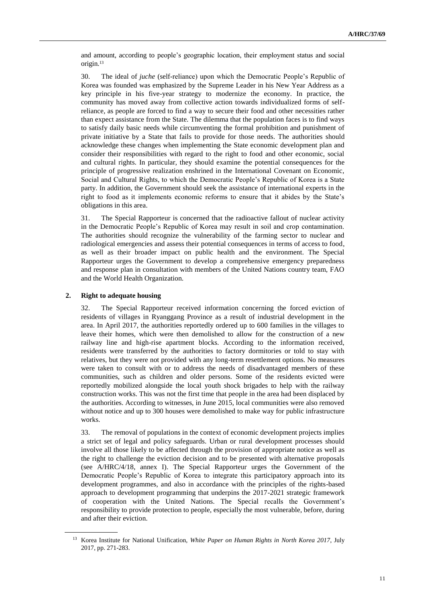and amount, according to people's geographic location, their employment status and social origin.<sup>13</sup>

30. The ideal of *juche* (self-reliance) upon which the Democratic People's Republic of Korea was founded was emphasized by the Supreme Leader in his New Year Address as a key principle in his five-year strategy to modernize the economy. In practice, the community has moved away from collective action towards individualized forms of selfreliance, as people are forced to find a way to secure their food and other necessities rather than expect assistance from the State. The dilemma that the population faces is to find ways to satisfy daily basic needs while circumventing the formal prohibition and punishment of private initiative by a State that fails to provide for those needs. The authorities should acknowledge these changes when implementing the State economic development plan and consider their responsibilities with regard to the right to food and other economic, social and cultural rights. In particular, they should examine the potential consequences for the principle of progressive realization enshrined in the International Covenant on Economic, Social and Cultural Rights, to which the Democratic People's Republic of Korea is a State party. In addition, the Government should seek the assistance of international experts in the right to food as it implements economic reforms to ensure that it abides by the State's obligations in this area.

31. The Special Rapporteur is concerned that the radioactive fallout of nuclear activity in the Democratic People's Republic of Korea may result in soil and crop contamination. The authorities should recognize the vulnerability of the farming sector to nuclear and radiological emergencies and assess their potential consequences in terms of access to food, as well as their broader impact on public health and the environment. The Special Rapporteur urges the Government to develop a comprehensive emergency preparedness and response plan in consultation with members of the United Nations country team, FAO and the World Health Organization.

#### **2. Right to adequate housing**

32. The Special Rapporteur received information concerning the forced eviction of residents of villages in Ryanggang Province as a result of industrial development in the area. In April 2017, the authorities reportedly ordered up to 600 families in the villages to leave their homes, which were then demolished to allow for the construction of a new railway line and high-rise apartment blocks. According to the information received, residents were transferred by the authorities to factory dormitories or told to stay with relatives, but they were not provided with any long-term resettlement options. No measures were taken to consult with or to address the needs of disadvantaged members of these communities, such as children and older persons. Some of the residents evicted were reportedly mobilized alongside the local youth shock brigades to help with the railway construction works. This was not the first time that people in the area had been displaced by the authorities. According to witnesses, in June 2015, local communities were also removed without notice and up to 300 houses were demolished to make way for public infrastructure works.

33. The removal of populations in the context of economic development projects implies a strict set of legal and policy safeguards. Urban or rural development processes should involve all those likely to be affected through the provision of appropriate notice as well as the right to challenge the eviction decision and to be presented with alternative proposals (see A/HRC/4/18, annex I). The Special Rapporteur urges the Government of the Democratic People's Republic of Korea to integrate this participatory approach into its development programmes, and also in accordance with the principles of the rights-based approach to development programming that underpins the 2017-2021 strategic framework of cooperation with the United Nations. The Special recalls the Government's responsibility to provide protection to people, especially the most vulnerable, before, during and after their eviction.

<sup>13</sup> Korea Institute for National Unification, *White Paper on Human Rights in North Korea 2017*, July 2017, pp. 271-283.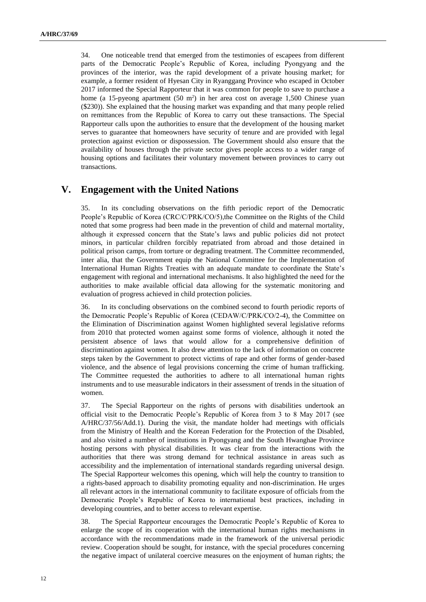34. One noticeable trend that emerged from the testimonies of escapees from different parts of the Democratic People's Republic of Korea, including Pyongyang and the provinces of the interior, was the rapid development of a private housing market; for example, a former resident of Hyesan City in Ryanggang Province who escaped in October 2017 informed the Special Rapporteur that it was common for people to save to purchase a home (a 15-pyeong apartment (50 m<sup>2</sup>) in her area cost on average 1,500 Chinese yuan (\$230)). She explained that the housing market was expanding and that many people relied on remittances from the Republic of Korea to carry out these transactions. The Special Rapporteur calls upon the authorities to ensure that the development of the housing market serves to guarantee that homeowners have security of tenure and are provided with legal protection against eviction or dispossession. The Government should also ensure that the availability of houses through the private sector gives people access to a wider range of housing options and facilitates their voluntary movement between provinces to carry out transactions.

# **V. Engagement with the United Nations**

35. In its concluding observations on the fifth periodic report of the Democratic People's Republic of Korea (CRC/C/PRK/CO/5),the Committee on the Rights of the Child noted that some progress had been made in the prevention of child and maternal mortality, although it expressed concern that the State's laws and public policies did not protect minors, in particular children forcibly repatriated from abroad and those detained in political prison camps, from torture or degrading treatment. The Committee recommended, inter alia, that the Government equip the National Committee for the Implementation of International Human Rights Treaties with an adequate mandate to coordinate the State's engagement with regional and international mechanisms. It also highlighted the need for the authorities to make available official data allowing for the systematic monitoring and evaluation of progress achieved in child protection policies.

36. In its concluding observations on the combined second to fourth periodic reports of the Democratic People's Republic of Korea (CEDAW/C/PRK/CO/2-4), the Committee on the Elimination of Discrimination against Women highlighted several legislative reforms from 2010 that protected women against some forms of violence, although it noted the persistent absence of laws that would allow for a comprehensive definition of discrimination against women. It also drew attention to the lack of information on concrete steps taken by the Government to protect victims of rape and other forms of gender-based violence, and the absence of legal provisions concerning the crime of human trafficking. The Committee requested the authorities to adhere to all international human rights instruments and to use measurable indicators in their assessment of trends in the situation of women.

37. The Special Rapporteur on the rights of persons with disabilities undertook an official visit to the Democratic People's Republic of Korea from 3 to 8 May 2017 (see A/HRC/37/56/Add.1). During the visit, the mandate holder had meetings with officials from the Ministry of Health and the Korean Federation for the Protection of the Disabled, and also visited a number of institutions in Pyongyang and the South Hwanghae Province hosting persons with physical disabilities. It was clear from the interactions with the authorities that there was strong demand for technical assistance in areas such as accessibility and the implementation of international standards regarding universal design. The Special Rapporteur welcomes this opening, which will help the country to transition to a rights-based approach to disability promoting equality and non-discrimination. He urges all relevant actors in the international community to facilitate exposure of officials from the Democratic People's Republic of Korea to international best practices, including in developing countries, and to better access to relevant expertise.

38. The Special Rapporteur encourages the Democratic People's Republic of Korea to enlarge the scope of its cooperation with the international human rights mechanisms in accordance with the recommendations made in the framework of the universal periodic review. Cooperation should be sought, for instance, with the special procedures concerning the negative impact of unilateral coercive measures on the enjoyment of human rights; the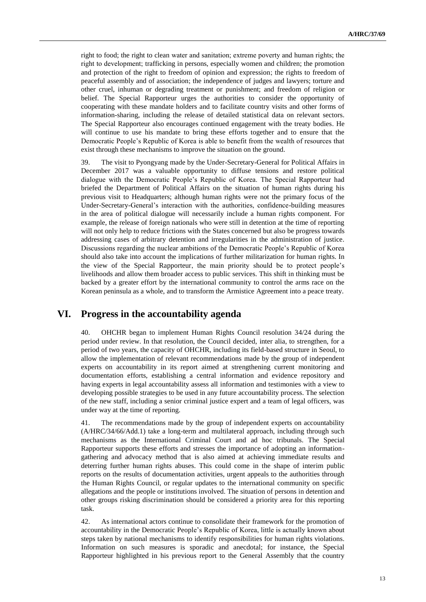right to food; the right to clean water and sanitation; extreme poverty and human rights; the right to development; trafficking in persons, especially women and children; the promotion and protection of the right to freedom of opinion and expression; the rights to freedom of peaceful assembly and of association; the independence of judges and lawyers; torture and other cruel, inhuman or degrading treatment or punishment; and freedom of religion or belief. The Special Rapporteur urges the authorities to consider the opportunity of cooperating with these mandate holders and to facilitate country visits and other forms of information-sharing, including the release of detailed statistical data on relevant sectors. The Special Rapporteur also encourages continued engagement with the treaty bodies. He will continue to use his mandate to bring these efforts together and to ensure that the Democratic People's Republic of Korea is able to benefit from the wealth of resources that exist through these mechanisms to improve the situation on the ground.

39. The visit to Pyongyang made by the Under-Secretary-General for Political Affairs in December 2017 was a valuable opportunity to diffuse tensions and restore political dialogue with the Democratic People's Republic of Korea. The Special Rapporteur had briefed the Department of Political Affairs on the situation of human rights during his previous visit to Headquarters; although human rights were not the primary focus of the Under-Secretary-General's interaction with the authorities, confidence-building measures in the area of political dialogue will necessarily include a human rights component. For example, the release of foreign nationals who were still in detention at the time of reporting will not only help to reduce frictions with the States concerned but also be progress towards addressing cases of arbitrary detention and irregularities in the administration of justice. Discussions regarding the nuclear ambitions of the Democratic People's Republic of Korea should also take into account the implications of further militarization for human rights. In the view of the Special Rapporteur, the main priority should be to protect people's livelihoods and allow them broader access to public services. This shift in thinking must be backed by a greater effort by the international community to control the arms race on the Korean peninsula as a whole, and to transform the Armistice Agreement into a peace treaty.

### **VI. Progress in the accountability agenda**

40. OHCHR began to implement Human Rights Council resolution 34/24 during the period under review. In that resolution, the Council decided, inter alia, to strengthen, for a period of two years, the capacity of OHCHR, including its field-based structure in Seoul, to allow the implementation of relevant recommendations made by the group of independent experts on accountability in its report aimed at strengthening current monitoring and documentation efforts, establishing a central information and evidence repository and having experts in legal accountability assess all information and testimonies with a view to developing possible strategies to be used in any future accountability process. The selection of the new staff, including a senior criminal justice expert and a team of legal officers, was under way at the time of reporting.

41. The recommendations made by the group of independent experts on accountability (A/HRC/34/66/Add.1) take a long-term and multilateral approach, including through such mechanisms as the International Criminal Court and ad hoc tribunals. The Special Rapporteur supports these efforts and stresses the importance of adopting an informationgathering and advocacy method that is also aimed at achieving immediate results and deterring further human rights abuses. This could come in the shape of interim public reports on the results of documentation activities, urgent appeals to the authorities through the Human Rights Council, or regular updates to the international community on specific allegations and the people or institutions involved. The situation of persons in detention and other groups risking discrimination should be considered a priority area for this reporting task.

42. As international actors continue to consolidate their framework for the promotion of accountability in the Democratic People's Republic of Korea, little is actually known about steps taken by national mechanisms to identify responsibilities for human rights violations. Information on such measures is sporadic and anecdotal; for instance, the Special Rapporteur highlighted in his previous report to the General Assembly that the country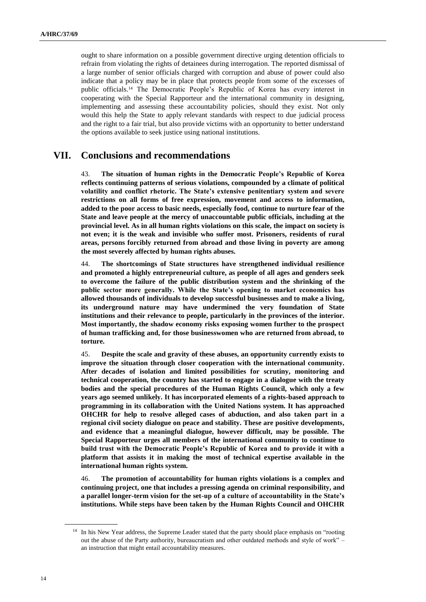ought to share information on a possible government directive urging detention officials to refrain from violating the rights of detainees during interrogation. The reported dismissal of a large number of senior officials charged with corruption and abuse of power could also indicate that a policy may be in place that protects people from some of the excesses of public officials.<sup>14</sup> The Democratic People's Republic of Korea has every interest in cooperating with the Special Rapporteur and the international community in designing, implementing and assessing these accountability policies, should they exist. Not only would this help the State to apply relevant standards with respect to due judicial process and the right to a fair trial, but also provide victims with an opportunity to better understand the options available to seek justice using national institutions.

# **VII. Conclusions and recommendations**

43. **The situation of human rights in the Democratic People's Republic of Korea reflects continuing patterns of serious violations, compounded by a climate of political volatility and conflict rhetoric. The State's extensive penitentiary system and severe restrictions on all forms of free expression, movement and access to information, added to the poor access to basic needs, especially food, continue to nurture fear of the State and leave people at the mercy of unaccountable public officials, including at the provincial level. As in all human rights violations on this scale, the impact on society is not even; it is the weak and invisible who suffer most. Prisoners, residents of rural areas, persons forcibly returned from abroad and those living in poverty are among the most severely affected by human rights abuses.** 

44. **The shortcomings of State structures have strengthened individual resilience and promoted a highly entrepreneurial culture, as people of all ages and genders seek to overcome the failure of the public distribution system and the shrinking of the public sector more generally. While the State's opening to market economics has allowed thousands of individuals to develop successful businesses and to make a living, its underground nature may have undermined the very foundation of State institutions and their relevance to people, particularly in the provinces of the interior. Most importantly, the shadow economy risks exposing women further to the prospect of human trafficking and, for those businesswomen who are returned from abroad, to torture.**

45. **Despite the scale and gravity of these abuses, an opportunity currently exists to improve the situation through closer cooperation with the international community. After decades of isolation and limited possibilities for scrutiny, monitoring and technical cooperation, the country has started to engage in a dialogue with the treaty bodies and the special procedures of the Human Rights Council, which only a few years ago seemed unlikely. It has incorporated elements of a rights-based approach to programming in its collaboration with the United Nations system. It has approached OHCHR for help to resolve alleged cases of abduction, and also taken part in a regional civil society dialogue on peace and stability. These are positive developments, and evidence that a meaningful dialogue, however difficult, may be possible. The Special Rapporteur urges all members of the international community to continue to build trust with the Democratic People's Republic of Korea and to provide it with a platform that assists it in making the most of technical expertise available in the international human rights system.**

46. **The promotion of accountability for human rights violations is a complex and continuing project, one that includes a pressing agenda on criminal responsibility, and a parallel longer-term vision for the set-up of a culture of accountability in the State's institutions. While steps have been taken by the Human Rights Council and OHCHR** 

<sup>&</sup>lt;sup>14</sup> In his New Year address, the Supreme Leader stated that the party should place emphasis on "rooting out the abuse of the Party authority, bureaucratism and other outdated methods and style of work" – an instruction that might entail accountability measures.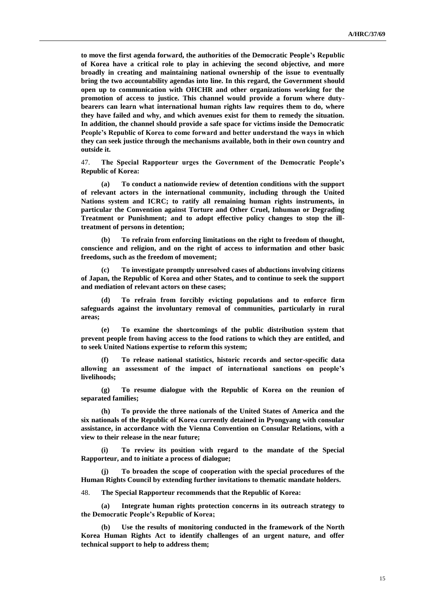**to move the first agenda forward, the authorities of the Democratic People's Republic of Korea have a critical role to play in achieving the second objective, and more broadly in creating and maintaining national ownership of the issue to eventually bring the two accountability agendas into line. In this regard, the Government should open up to communication with OHCHR and other organizations working for the promotion of access to justice. This channel would provide a forum where dutybearers can learn what international human rights law requires them to do, where they have failed and why, and which avenues exist for them to remedy the situation. In addition, the channel should provide a safe space for victims inside the Democratic People's Republic of Korea to come forward and better understand the ways in which they can seek justice through the mechanisms available, both in their own country and outside it.** 

47. **The Special Rapporteur urges the Government of the Democratic People's Republic of Korea:**

**(a) To conduct a nationwide review of detention conditions with the support of relevant actors in the international community, including through the United Nations system and ICRC; to ratify all remaining human rights instruments, in particular the Convention against Torture and Other Cruel, Inhuman or Degrading Treatment or Punishment; and to adopt effective policy changes to stop the illtreatment of persons in detention;** 

**(b) To refrain from enforcing limitations on the right to freedom of thought, conscience and religion, and on the right of access to information and other basic freedoms, such as the freedom of movement;** 

**(c) To investigate promptly unresolved cases of abductions involving citizens of Japan, the Republic of Korea and other States, and to continue to seek the support and mediation of relevant actors on these cases;**

**(d) To refrain from forcibly evicting populations and to enforce firm safeguards against the involuntary removal of communities, particularly in rural areas;**

**(e) To examine the shortcomings of the public distribution system that prevent people from having access to the food rations to which they are entitled, and to seek United Nations expertise to reform this system;**

**(f) To release national statistics, historic records and sector-specific data allowing an assessment of the impact of international sanctions on people's livelihoods;**

**(g) To resume dialogue with the Republic of Korea on the reunion of separated families;**

**(h) To provide the three nationals of the United States of America and the six nationals of the Republic of Korea currently detained in Pyongyang with consular assistance, in accordance with the Vienna Convention on Consular Relations, with a view to their release in the near future;** 

**(i) To review its position with regard to the mandate of the Special Rapporteur, and to initiate a process of dialogue;**

**(j) To broaden the scope of cooperation with the special procedures of the Human Rights Council by extending further invitations to thematic mandate holders.** 

48. **The Special Rapporteur recommends that the Republic of Korea:**

**(a) Integrate human rights protection concerns in its outreach strategy to the Democratic People's Republic of Korea;**

**(b) Use the results of monitoring conducted in the framework of the North Korea Human Rights Act to identify challenges of an urgent nature, and offer technical support to help to address them;**